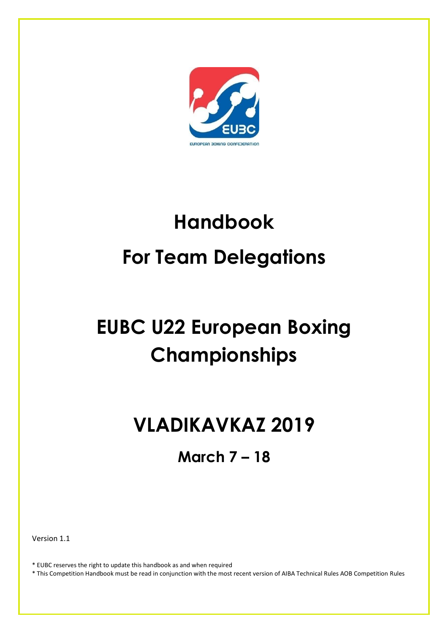

# **Handbook For Team Delegations**

# **EUBC U22 European Boxing Championships**

# **VLADIKAVKAZ 2019**

**March 7 – 18**

Version 1.1

\* EUBC reserves the right to update this handbook as and when required

\* This Competition Handbook must be read in conjunction with the most recent version of AIBA Technical Rules AOB Competition Rules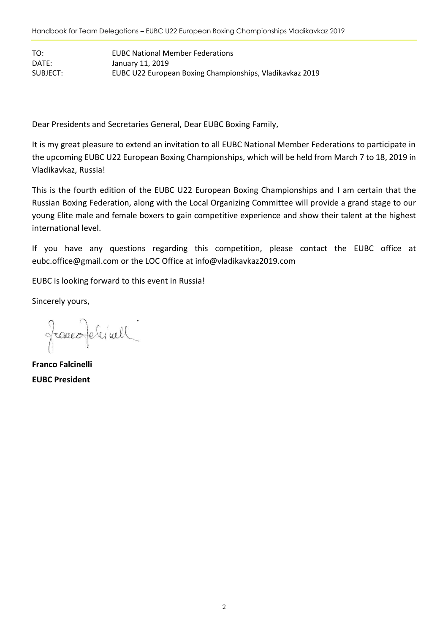TO: EUBC National Member Federations DATE: January 11, 2019 SUBJECT: EUBC U22 European Boxing Championships, Vladikavkaz 2019

Dear Presidents and Secretaries General, Dear EUBC Boxing Family,

It is my great pleasure to extend an invitation to all EUBC National Member Federations to participate in the upcoming EUBC U22 European Boxing Championships, which will be held from March 7 to 18, 2019 in Vladikavkaz, Russia!

This is the fourth edition of the EUBC U22 European Boxing Championships and I am certain that the Russian Boxing Federation, along with the Local Organizing Committee will provide a grand stage to our young Elite male and female boxers to gain competitive experience and show their talent at the highest international level.

If you have any questions regarding this competition, please contact the EUBC office at [eubc.office@gmail.com](mailto:eubc.office@gmail.com) or the LOC Office at info@vladikavkaz2019.com

EUBC is looking forward to this event in Russia!

Sincerely yours,

franco Jelinell

**Franco Falcinelli EUBC President**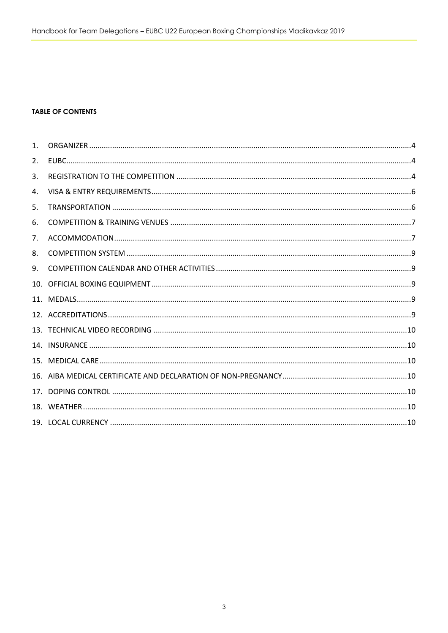#### **TABLE OF CONTENTS**

| 1 <sub>1</sub> |  |
|----------------|--|
| 2.             |  |
| 3.             |  |
| 4.             |  |
| 5.             |  |
| 6.             |  |
| 7 <sub>1</sub> |  |
| 8.             |  |
| 9.             |  |
|                |  |
|                |  |
|                |  |
|                |  |
|                |  |
|                |  |
|                |  |
|                |  |
|                |  |
|                |  |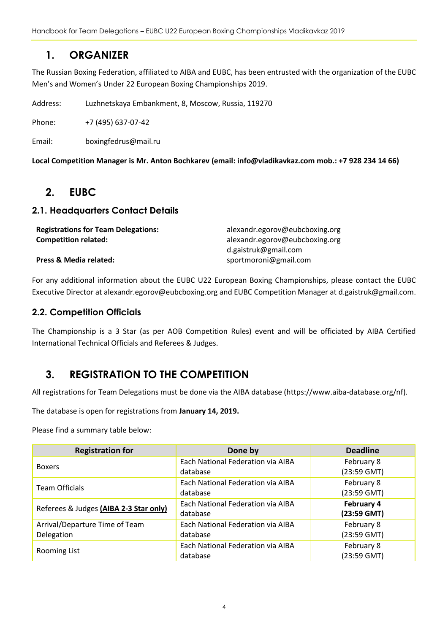Handbook for Team Delegations – EUBC U22 European Boxing Championships Vladikavkaz 2019

## <span id="page-3-0"></span>**1. ORGANIZER**

The Russian Boxing Federation, affiliated to AIBA and EUBC, has been entrusted with the organization of the EUBC Men's and Women's Under 22 European Boxing Championships 2019.

Address: Luzhnetskaya Embankment, 8, Moscow, Russia, 119270

Phone: +7 (495) 637-07-42

Email: [boxingfedrus@m](mailto:boxingfedrus@mail.ru)ail.ru

<span id="page-3-1"></span>**Local Competition Manager is Mr. Anton Bochkarev (email: info@vladikavkaz.com mob.: +7 928 234 14 66)**

### **2. EUBC**

#### **2.1. Headquarters Contact Details**

| <b>Registrations for Team Delegations:</b> | alexandr.egorov@eubcboxing.org |
|--------------------------------------------|--------------------------------|
| <b>Competition related:</b>                | alexandr.egorov@eubcboxing.org |
|                                            | d.gaistruk@gmail.com           |
| <b>Press &amp; Media related:</b>          | sportmoroni@gmail.com          |

For any additional information about the EUBC U22 European Boxing Championships, please contact the EUBC Executive Director at alexandr.egorov@eubcboxing.org and EUBC Competition Manager at d.gaistruk@gmail.com.

#### **2.2. Competition Officials**

The Championship is a 3 Star (as per AOB Competition Rules) event and will be officiated by AIBA Certified International Technical Officials and Referees & Judges.

### <span id="page-3-2"></span>**3. REGISTRATION TO THE COMPETITION**

All registrations for Team Delegations must be done via the AIBA database (https://www.aiba-database.org/nf).

The database is open for registrations from **January 14, 2019.**

Please find a summary table below:

| <b>Registration for</b>                | Done by                           | <b>Deadline</b> |
|----------------------------------------|-----------------------------------|-----------------|
| <b>Boxers</b>                          | Each National Federation via AIBA | February 8      |
|                                        | database                          | $(23:59$ GMT)   |
| <b>Team Officials</b>                  | Each National Federation via AIBA | February 8      |
|                                        | database                          | $(23:59$ GMT)   |
|                                        | Each National Federation via AIBA | February 4      |
| Referees & Judges (AIBA 2-3 Star only) | database                          | $(23:59$ GMT)   |
| Arrival/Departure Time of Team         | Each National Federation via AIBA | February 8      |
| Delegation                             | database                          | $(23:59$ GMT)   |
|                                        | Each National Federation via AIBA | February 8      |
| Rooming List                           | database                          | (23:59 GMT)     |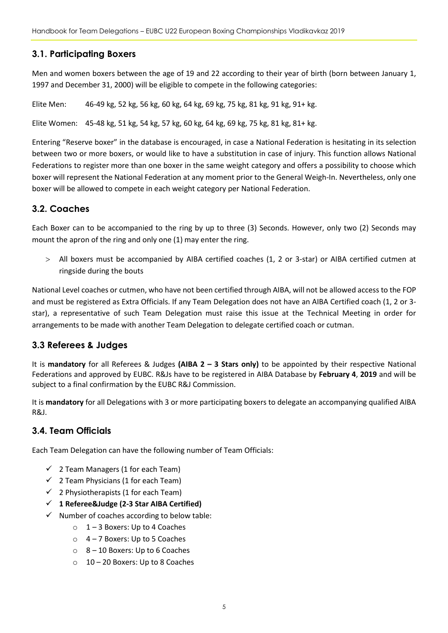#### **3.1. Participating Boxers**

Men and women boxers between the age of 19 and 22 according to their year of birth (born between January 1, 1997 and December 31, 2000) will be eligible to compete in the following categories:

Elite Men: 46-49 kg, 52 kg, 56 kg, 60 kg, 64 kg, 69 kg, 75 kg, 81 kg, 91 kg, 91+ kg.

Elite Women: 45-48 kg, 51 kg, 54 kg, 57 kg, 60 kg, 64 kg, 69 kg, 75 kg, 81 kg, 81+ kg.

Entering "Reserve boxer" in the database is encouraged, in case a National Federation is hesitating in its selection between two or more boxers, or would like to have a substitution in case of injury. This function allows National Federations to register more than one boxer in the same weight category and offers a possibility to choose which boxer will represent the National Federation at any moment prior to the General Weigh-In. Nevertheless, only one boxer will be allowed to compete in each weight category per National Federation.

#### **3.2. Coaches**

Each Boxer can to be accompanied to the ring by up to three (3) Seconds. However, only two (2) Seconds may mount the apron of the ring and only one (1) may enter the ring.

 All boxers must be accompanied by AIBA certified coaches (1, 2 or 3-star) or AIBA certified cutmen at ringside during the bouts

National Level coaches or cutmen, who have not been certified through AIBA, will not be allowed access to the FOP and must be registered as Extra Officials. If any Team Delegation does not have an AIBA Certified coach (1, 2 or 3 star), a representative of such Team Delegation must raise this issue at the Technical Meeting in order for arrangements to be made with another Team Delegation to delegate certified coach or cutman.

#### **3.3 Referees & Judges**

It is **mandatory** for all Referees & Judges **(AIBA 2 – 3 Stars only)** to be appointed by their respective National Federations and approved by EUBC. R&Js have to be registered in AIBA Database by **February 4**, **2019** and will be subject to a final confirmation by the EUBC R&J Commission.

It is **mandatory** for all Delegations with 3 or more participating boxers to delegate an accompanying qualified AIBA R&J.

#### **3.4. Team Officials**

Each Team Delegation can have the following number of Team Officials:

- $\checkmark$  2 Team Managers (1 for each Team)
- $\checkmark$  2 Team Physicians (1 for each Team)
- $\checkmark$  2 Physiotherapists (1 for each Team)
- **1 Referee&Judge (2-3 Star AIBA Certified)**
- $\checkmark$  Number of coaches according to below table:
	- $\circ$  1 3 Boxers: Up to 4 Coaches
	- $\circ$  4 7 Boxers: Up to 5 Coaches
	- $\circ$  8 10 Boxers: Up to 6 Coaches
	- o 10 20 Boxers: Up to 8 Coaches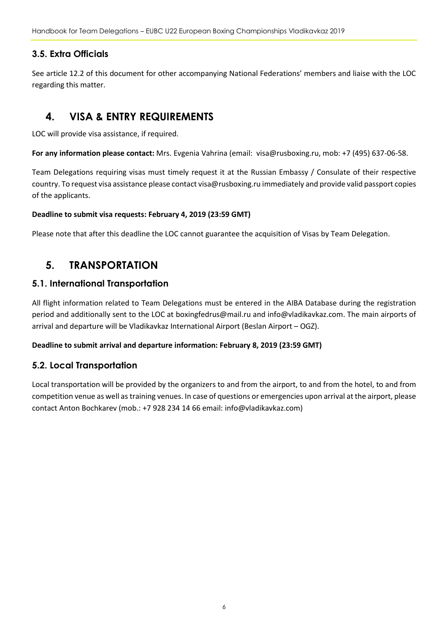Handbook for Team Delegations – EUBC U22 European Boxing Championships Vladikavkaz 2019

#### **3.5. Extra Officials**

See article 12.2 of this document for other accompanying National Federations' members and liaise with the LOC regarding this matter.

# <span id="page-5-0"></span>**4. VISA & ENTRY REQUIREMENTS**

LOC will provide visa assistance, if required.

**For any information please contact:** Mrs. Evgenia Vahrina (email: [visa@rusboxing.ru,](mailto:visa@rusboxing.ru) mob: +7 (495) 637-06-58.

Team Delegations requiring visas must timely request it at the Russian Embassy / Consulate of their respective country. To request visa assistance please contac[t visa@rusboxing.ru](mailto:visa@rusboxing.ru) immediately and provide valid passport copies of the applicants.

#### **Deadline to submit visa requests: February 4, 2019 (23:59 GMT)**

Please note that after this deadline the LOC cannot guarantee the acquisition of Visas by Team Delegation.

# <span id="page-5-1"></span>**5. TRANSPORTATION**

#### **5.1. International Transportation**

All flight information related to Team Delegations must be entered in the AIBA Database during the registration period and additionally sent to the LOC at [boxingfedrus@mail.ru](mailto:boxingfedrus@mail.ru) an[d info@vladikavkaz.com.](mailto:antbochkarev@gmail.com) The main airports of arrival and departure will be Vladikavkaz International Airport (Beslan Airport – OGZ).

#### **Deadline to submit arrival and departure information: February 8, 2019 (23:59 GMT)**

#### **5.2. Local Transportation**

Local transportation will be provided by the organizers to and from the airport, to and from the hotel, to and from competition venue as well astraining venues. In case of questions or emergencies upon arrival at the airport, please contact Anton Bochkarev (mob.: +7 928 234 14 66 email: [info@vladikavkaz.com\)](mailto:antbochkarev@gmail.com)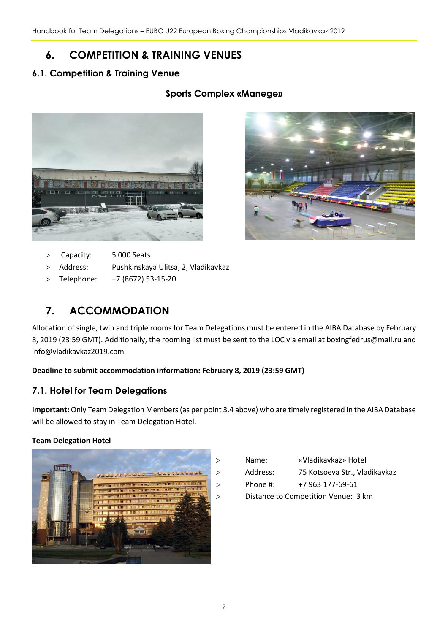# <span id="page-6-0"></span>**6. COMPETITION & TRAINING VENUES**

#### **6.1. Competition & Training Venue**

#### **Sports Complex «Manege»**





- Capacity: 5 000 Seats
- Address: Pushkinskaya Ulitsa, 2, Vladikavkaz
- Telephone: +7 (8672) 53-15-20

# <span id="page-6-1"></span>**7. ACCOMMODATION**

Allocation of single, twin and triple rooms for Team Delegations must be entered in the AIBA Database by February 8, 2019 (23:59 GMT). Additionally, the rooming list must be sent to the LOC via email at [boxingfedrus@mail.ru](mailto:boxingfedrus@mail.ru) and info@vladikavkaz2019.com

#### **Deadline to submit accommodation information: February 8, 2019 (23:59 GMT)**

#### **7.1. Hotel for Team Delegations**

**Important:** Only Team Delegation Members(as per point 3.4 above) who are timely registered in the AIBA Database will be allowed to stay in Team Delegation Hotel.

#### **Team Delegation Hotel**



| Name: | «Vladikavkaz» Hotel |
|-------|---------------------|
|       |                     |

Address: 75 Kotsoeva Str., Vladikavkaz

Phone #: +7 963 177-69-61

Distance to Competition Venue: 3 km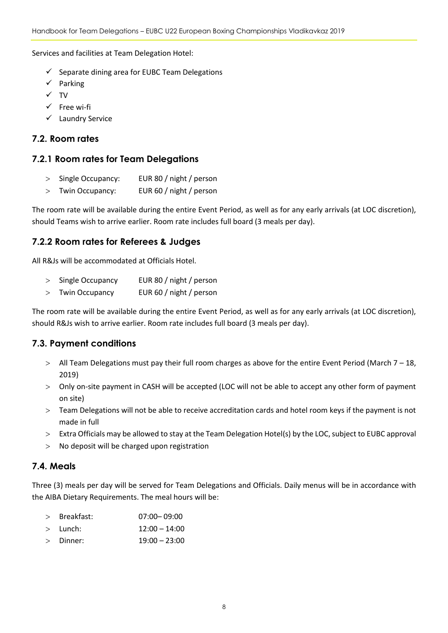Services and facilities at Team Delegation Hotel:

- $\checkmark$  Separate dining area for EUBC Team Delegations
- $\checkmark$  Parking
- $\checkmark$  TV
- $\checkmark$  Free wi-fi
- $\checkmark$  Laundry Service

#### **7.2. Room rates**

#### **7.2.1 Room rates for Team Delegations**

- > Single Occupancy: EUR 80 / night / person
- Twin Occupancy: EUR 60 / night / person

The room rate will be available during the entire Event Period, as well as for any early arrivals (at LOC discretion), should Teams wish to arrive earlier. Room rate includes full board (3 meals per day).

#### **7.2.2 Room rates for Referees & Judges**

All R&Js will be accommodated at Officials Hotel.

- > Single Occupancy EUR 80 / night / person
- Twin Occupancy EUR 60 / night / person

The room rate will be available during the entire Event Period, as well as for any early arrivals (at LOC discretion), should R&Js wish to arrive earlier. Room rate includes full board (3 meals per day).

#### **7.3. Payment conditions**

- All Team Delegations must pay their full room charges as above for the entire Event Period (March 7 18, 2019)
- Only on-site payment in CASH will be accepted (LOC will not be able to accept any other form of payment on site)
- Team Delegations will not be able to receive accreditation cards and hotel room keys if the payment is not made in full
- Extra Officials may be allowed to stay at the Team Delegation Hotel(s) by the LOC, subject to EUBC approval
- No deposit will be charged upon registration

#### **7.4. Meals**

Three (3) meals per day will be served for Team Delegations and Officials. Daily menus will be in accordance with the AIBA Dietary Requirements. The meal hours will be:

| Breakfast: | $07:00 - 09:00$ |
|------------|-----------------|
|            |                 |

- Lunch: 12:00 14:00
- $\geq$  Dinner:  $19:00 23:00$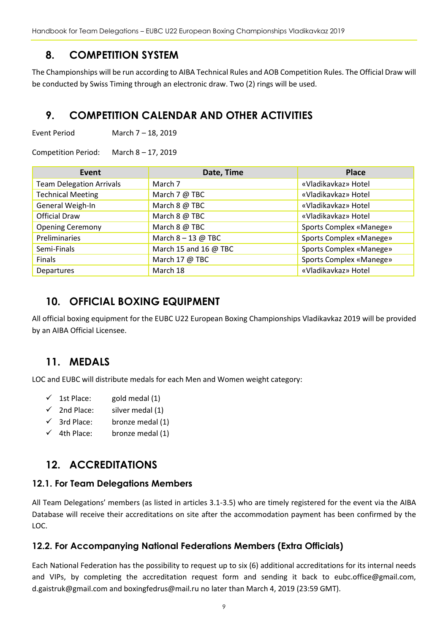Handbook for Team Delegations – EUBC U22 European Boxing Championships Vladikavkaz 2019

## <span id="page-8-0"></span>**8. COMPETITION SYSTEM**

The Championships will be run according to AIBA Technical Rules and AOB Competition Rules. The Official Draw will be conducted by Swiss Timing through an electronic draw. Two (2) rings will be used.

# <span id="page-8-1"></span>**9. COMPETITION CALENDAR AND OTHER ACTIVITIES**

Event Period March 7 – 18, 2019

Competition Period: March 8 – 17, 2019

| Event                           | Date, Time            | <b>Place</b>            |
|---------------------------------|-----------------------|-------------------------|
| <b>Team Delegation Arrivals</b> | March 7               | «Vladikavkaz» Hotel     |
| <b>Technical Meeting</b>        | March 7 @ TBC         | «Vladikavkaz» Hotel     |
| General Weigh-In                | March 8 @ TBC         | «Vladikavkaz» Hotel     |
| <b>Official Draw</b>            | March 8 @ TBC         | «Vladikavkaz» Hotel     |
| <b>Opening Ceremony</b>         | March 8 @ TBC         | Sports Complex «Manege» |
| Preliminaries                   | March $8 - 13$ @ TBC  | Sports Complex «Manege» |
| Semi-Finals                     | March 15 and 16 @ TBC | Sports Complex «Manege» |
| Finals                          | March 17 @ TBC        | Sports Complex «Manege» |
| Departures                      | March 18              | «Vladikavkaz» Hotel     |

# <span id="page-8-2"></span>**10. OFFICIAL BOXING EQUIPMENT**

All official boxing equipment for the EUBC U22 European Boxing Championships Vladikavkaz 2019 will be provided by an AIBA Official Licensee.

# <span id="page-8-3"></span>**11. MEDALS**

LOC and EUBC will distribute medals for each Men and Women weight category:

- $\checkmark$  1st Place: gold medal (1)
- $\checkmark$  2nd Place: silver medal (1)
- $\checkmark$  3rd Place: bronze medal (1)
- $\checkmark$  4th Place: bronze medal (1)

# <span id="page-8-4"></span>**12. ACCREDITATIONS**

#### **12.1. For Team Delegations Members**

All Team Delegations' members (as listed in articles 3.1-3.5) who are timely registered for the event via the AIBA Database will receive their accreditations on site after the accommodation payment has been confirmed by the LOC.

#### **12.2. For Accompanying National Federations Members (Extra Officials)**

Each National Federation has the possibility to request up to six (6) additional accreditations for its internal needs and VIPs, by completing the accreditation request form and sending it back to eubc.office@gmail.com, d.gaistruk@gmail.com an[d boxingfedrus@mail.ru](mailto:boxingfedrus@mail.ru) no later than March 4, 2019 (23:59 GMT).